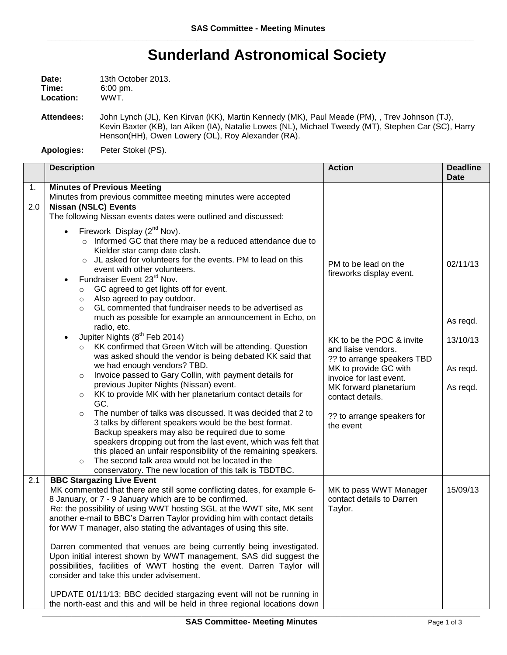## **Sunderland Astronomical Society**

| Date:            | 13th October 2013.  |
|------------------|---------------------|
| Time:            | $6:00 \text{ pm}$ . |
| <b>Location:</b> | WWT.                |

**Attendees:** John Lynch (JL), Ken Kirvan (KK), Martin Kennedy (MK), Paul Meade (PM), , Trev Johnson (TJ), Kevin Baxter (KB), Ian Aiken (IA), Natalie Lowes (NL), Michael Tweedy (MT), Stephen Car (SC), Harry Henson(HH), Owen Lowery (OL), Roy Alexander (RA).

**Apologies:** Peter Stokel (PS).

|     | <b>Description</b>                                                                                                                                                                                                                                                                                                                                                                                                                                                                                                                                                                                                                                                                                                                                                                                                                                                                                                                                                                                                                                                                                                                                                                                                                                                                                                                                                                                                                                                                            | <b>Action</b>                                                                                                                                                                                                                                                                   | <b>Deadline</b><br><b>Date</b>                           |
|-----|-----------------------------------------------------------------------------------------------------------------------------------------------------------------------------------------------------------------------------------------------------------------------------------------------------------------------------------------------------------------------------------------------------------------------------------------------------------------------------------------------------------------------------------------------------------------------------------------------------------------------------------------------------------------------------------------------------------------------------------------------------------------------------------------------------------------------------------------------------------------------------------------------------------------------------------------------------------------------------------------------------------------------------------------------------------------------------------------------------------------------------------------------------------------------------------------------------------------------------------------------------------------------------------------------------------------------------------------------------------------------------------------------------------------------------------------------------------------------------------------------|---------------------------------------------------------------------------------------------------------------------------------------------------------------------------------------------------------------------------------------------------------------------------------|----------------------------------------------------------|
| 1.  | <b>Minutes of Previous Meeting</b><br>Minutes from previous committee meeting minutes were accepted                                                                                                                                                                                                                                                                                                                                                                                                                                                                                                                                                                                                                                                                                                                                                                                                                                                                                                                                                                                                                                                                                                                                                                                                                                                                                                                                                                                           |                                                                                                                                                                                                                                                                                 |                                                          |
| 2.0 | <b>Nissan (NSLC) Events</b><br>The following Nissan events dates were outlined and discussed:<br>Firework Display (2 <sup>nd</sup> Nov).<br>o Informed GC that there may be a reduced attendance due to<br>Kielder star camp date clash.<br>o JL asked for volunteers for the events. PM to lead on this<br>event with other volunteers.<br>Fundraiser Event 23rd Nov.<br>GC agreed to get lights off for event.<br>$\circ$<br>Also agreed to pay outdoor.<br>$\circ$<br>GL commented that fundraiser needs to be advertised as<br>$\circ$<br>much as possible for example an announcement in Echo, on<br>radio, etc.<br>Jupiter Nights (8 <sup>th</sup> Feb 2014)<br>KK confirmed that Green Witch will be attending. Question<br>$\circ$<br>was asked should the vendor is being debated KK said that<br>we had enough vendors? TBD.<br>Invoice passed to Gary Collin, with payment details for<br>$\circ$<br>previous Jupiter Nights (Nissan) event.<br>KK to provide MK with her planetarium contact details for<br>$\circ$<br>GC.<br>The number of talks was discussed. It was decided that 2 to<br>$\circ$<br>3 talks by different speakers would be the best format.<br>Backup speakers may also be required due to some<br>speakers dropping out from the last event, which was felt that<br>this placed an unfair responsibility of the remaining speakers.<br>The second talk area would not be located in the<br>$\circ$<br>conservatory. The new location of this talk is TBDTBC. | PM to be lead on the<br>fireworks display event.<br>KK to be the POC & invite<br>and liaise vendors.<br>?? to arrange speakers TBD<br>MK to provide GC with<br>invoice for last event.<br>MK forward planetarium<br>contact details.<br>?? to arrange speakers for<br>the event | 02/11/13<br>As regd.<br>13/10/13<br>As regd.<br>As regd. |
| 2.1 | <b>BBC Stargazing Live Event</b><br>MK commented that there are still some conflicting dates, for example 6-<br>8 January, or 7 - 9 January which are to be confirmed.<br>Re: the possibility of using WWT hosting SGL at the WWT site, MK sent<br>another e-mail to BBC's Darren Taylor providing him with contact details<br>for WW T manager, also stating the advantages of using this site.<br>Darren commented that venues are being currently being investigated.<br>Upon initial interest shown by WWT management, SAS did suggest the<br>possibilities, facilities of WWT hosting the event. Darren Taylor will<br>consider and take this under advisement.<br>UPDATE 01/11/13: BBC decided stargazing event will not be running in<br>the north-east and this and will be held in three regional locations down                                                                                                                                                                                                                                                                                                                                                                                                                                                                                                                                                                                                                                                                     | MK to pass WWT Manager<br>contact details to Darren<br>Taylor.                                                                                                                                                                                                                  | 15/09/13                                                 |

\_\_\_\_\_\_\_\_\_\_\_\_\_\_\_\_\_\_\_\_\_\_\_\_\_\_\_\_\_\_\_\_\_\_\_\_\_\_\_\_\_\_\_\_\_\_\_\_\_\_\_\_\_\_\_\_\_\_\_\_\_\_\_\_\_\_\_\_\_\_\_\_\_\_\_\_\_\_\_\_\_\_\_\_\_\_\_\_\_\_\_\_\_\_\_\_\_\_\_\_\_\_\_\_\_\_\_\_\_\_\_\_\_\_\_\_\_\_\_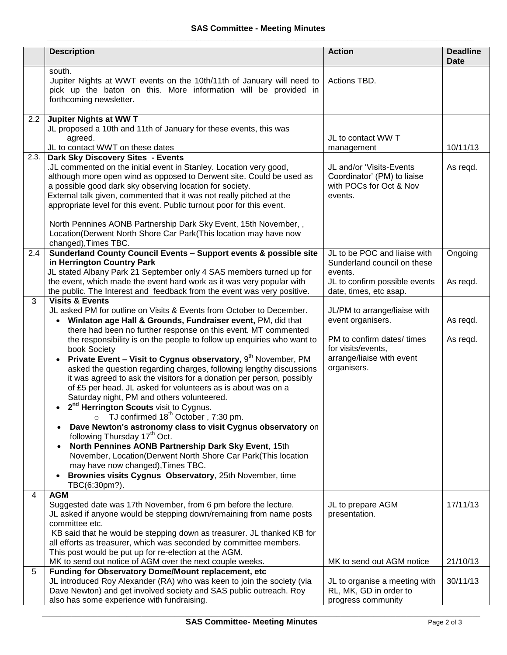|      | <b>Description</b>                                                                                                                                                                                                                                                                                                                                                                                                                                                                                                                                                                                                                                                                                                                                                                                                                                                                                                                                                                                                                                                                                                                                                                                     | <b>Action</b>                                                                                                                                     | <b>Deadline</b><br><b>Date</b> |
|------|--------------------------------------------------------------------------------------------------------------------------------------------------------------------------------------------------------------------------------------------------------------------------------------------------------------------------------------------------------------------------------------------------------------------------------------------------------------------------------------------------------------------------------------------------------------------------------------------------------------------------------------------------------------------------------------------------------------------------------------------------------------------------------------------------------------------------------------------------------------------------------------------------------------------------------------------------------------------------------------------------------------------------------------------------------------------------------------------------------------------------------------------------------------------------------------------------------|---------------------------------------------------------------------------------------------------------------------------------------------------|--------------------------------|
|      | south.<br>Jupiter Nights at WWT events on the 10th/11th of January will need to<br>pick up the baton on this. More information will be provided in<br>forthcoming newsletter.                                                                                                                                                                                                                                                                                                                                                                                                                                                                                                                                                                                                                                                                                                                                                                                                                                                                                                                                                                                                                          | Actions TBD.                                                                                                                                      |                                |
| 2.2  | Jupiter Nights at WW T<br>JL proposed a 10th and 11th of January for these events, this was<br>agreed.<br>JL to contact WWT on these dates                                                                                                                                                                                                                                                                                                                                                                                                                                                                                                                                                                                                                                                                                                                                                                                                                                                                                                                                                                                                                                                             | JL to contact WW T<br>management                                                                                                                  | 10/11/13                       |
| 2.3. | Dark Sky Discovery Sites - Events<br>.JL commented on the initial event in Stanley. Location very good,<br>although more open wind as opposed to Derwent site. Could be used as<br>a possible good dark sky observing location for society.<br>External talk given, commented that it was not really pitched at the<br>appropriate level for this event. Public turnout poor for this event.<br>North Pennines AONB Partnership Dark Sky Event, 15th November,,<br>Location(Derwent North Shore Car Park(This location may have now<br>changed), Times TBC.                                                                                                                                                                                                                                                                                                                                                                                                                                                                                                                                                                                                                                            | JL and/or 'Visits-Events<br>Coordinator' (PM) to liaise<br>with POCs for Oct & Nov<br>events.                                                     | As regd.                       |
| 2.4  | Sunderland County Council Events - Support events & possible site<br>in Herrington Country Park<br>JL stated Albany Park 21 September only 4 SAS members turned up for<br>the event, which made the event hard work as it was very popular with<br>the public. The Interest and feedback from the event was very positive.                                                                                                                                                                                                                                                                                                                                                                                                                                                                                                                                                                                                                                                                                                                                                                                                                                                                             | JL to be POC and liaise with<br>Sunderland council on these<br>events.<br>JL to confirm possible events<br>date, times, etc asap.                 | Ongoing<br>As regd.            |
| 3    | <b>Visits &amp; Events</b><br>JL asked PM for outline on Visits & Events from October to December.<br>Winlaton age Hall & Grounds, Fundraiser event, PM, did that<br>$\bullet$<br>there had been no further response on this event. MT commented<br>the responsibility is on the people to follow up enquiries who want to<br>book Society<br>Private Event - Visit to Cygnus observatory, 9 <sup>th</sup> November, PM<br>$\bullet$<br>asked the question regarding charges, following lengthy discussions<br>it was agreed to ask the visitors for a donation per person, possibly<br>of £5 per head. JL asked for volunteers as is about was on a<br>Saturday night, PM and others volunteered.<br>2 <sup>nd</sup> Herrington Scouts visit to Cygnus.<br>TJ confirmed 18 <sup>th</sup> October, 7:30 pm.<br>$\circ$<br>Dave Newton's astronomy class to visit Cygnus observatory on<br>following Thursday 17 <sup>th</sup> Oct.<br>North Pennines AONB Partnership Dark Sky Event, 15th<br>$\bullet$<br>November, Location(Derwent North Shore Car Park(This location<br>may have now changed), Times TBC.<br>Brownies visits Cygnus Observatory, 25th November, time<br>$\bullet$<br>TBC(6:30pm?). | JL/PM to arrange/liaise with<br>event organisers.<br>PM to confirm dates/ times<br>for visits/events,<br>arrange/liaise with event<br>organisers. | As regd.<br>As regd.           |
| 4    | <b>AGM</b><br>Suggested date was 17th November, from 6 pm before the lecture.<br>JL asked if anyone would be stepping down/remaining from name posts<br>committee etc.<br>KB said that he would be stepping down as treasurer. JL thanked KB for<br>all efforts as treasurer, which was seconded by committee members.<br>This post would be put up for re-election at the AGM.<br>MK to send out notice of AGM over the next couple weeks.                                                                                                                                                                                                                                                                                                                                                                                                                                                                                                                                                                                                                                                                                                                                                            | JL to prepare AGM<br>presentation.<br>MK to send out AGM notice                                                                                   | 17/11/13<br>21/10/13           |
| 5    | Funding for Observatory Dome/Mount replacement, etc<br>JL introduced Roy Alexander (RA) who was keen to join the society (via<br>Dave Newton) and get involved society and SAS public outreach. Roy<br>also has some experience with fundraising.                                                                                                                                                                                                                                                                                                                                                                                                                                                                                                                                                                                                                                                                                                                                                                                                                                                                                                                                                      | JL to organise a meeting with<br>RL, MK, GD in order to<br>progress community                                                                     | 30/11/13                       |